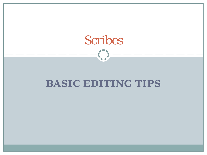

#### **BASIC EDITING TIPS**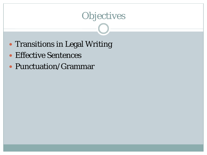#### **Objectives**

- Transitions in Legal Writing
- Effective Sentences
- Punctuation/Grammar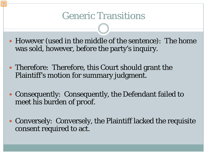- However (used in the middle of the sentence): The home was sold, however, before the party's inquiry.
- Therefore: Therefore, this Court should grant the Plaintiff's motion for summary judgment.
- Consequently: Consequently, the Defendant failed to meet his burden of proof.
- Conversely: Conversely, the Plaintiff lacked the requisite consent required to act.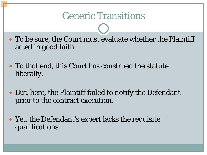#### Generic Transitions

- To be sure, the Court must evaluate whether the Plaintiff acted in good faith.
- To that end, this Court has construed the statute liberally.
- But, here, the Plaintiff failed to notify the Defendant prior to the contract execution.
- Yet, the Defendant's expert lacks the requisite qualifications.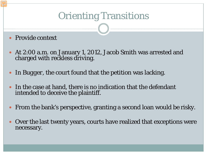## Orienting Transitions

- Provide context
- At 2:00 a.m. on January 1, 2012, Jacob Smith was arrested and charged with reckless driving.
- In *Bugger,* the court found that the petition was lacking.
- In the case at hand, there is no indication that the defendant intended to deceive the plaintiff.
- From the bank's perspective, granting a second loan would be risky.
- Over the last twenty years, courts have realized that exceptions were necessary.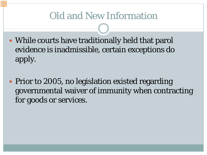## Old and New Information

- While courts have traditionally held that parol evidence is inadmissible, certain exceptions do apply.
- Prior to 2005, no legislation existed regarding governmental waiver of immunity when contracting for goods or services.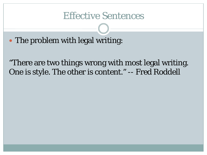#### Effective Sentences

• The problem with legal writing:

"There are two things wrong with most legal writing. One is style. The other is content." -- Fred Roddell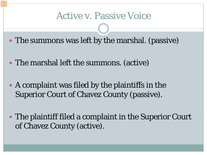#### Active v. Passive Voice

• The summons was left by the marshal. (passive)

• The marshal left the summons. (active)

 A complaint was filed by the plaintiffs in the Superior Court of Chavez County (passive).

 The plaintiff filed a complaint in the Superior Court of Chavez County (active).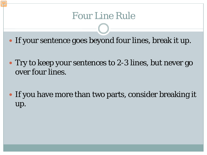#### Four Line Rule

If your sentence goes beyond four lines, break it up.

- Try to keep your sentences to 2-3 lines, but never go over four lines.
- If you have more than two parts, consider breaking it up.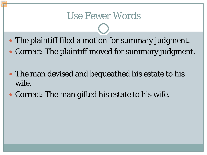#### Use Fewer Words

- The plaintiff filed a motion for summary judgment. • Correct: The plaintiff moved for summary judgment.
- The man devised and bequeathed his estate to his wife.
- Correct: The man gifted his estate to his wife.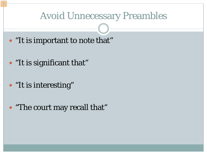#### Avoid Unnecessary Preambles

- "It is important to note that"
- "It is significant that"
- "It is interesting"
- "The court may recall that"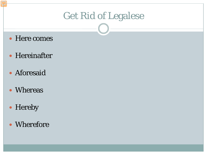## Get Rid of Legalese

- Here comes
- Hereinafter
- Aforesaid
- Whereas
- Hereby
- Wherefore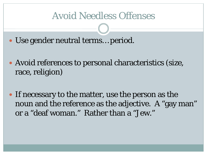#### Avoid Needless Offenses

- Use gender neutral terms… period.
- Avoid references to personal characteristics (size, race, religion)
- If necessary to the matter, use the person as the noun and the reference as the adjective. A "gay man" or a "deaf woman." Rather than a "Jew."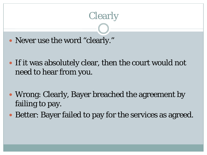# Clearly

• Never use the word "clearly."

- If it was absolutely clear, then the court would not need to hear from you.
- Wrong: Clearly, Bayer breached the agreement by failing to pay.
- Better: Bayer failed to pay for the services as agreed.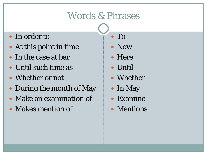## Words & Phrases

- In order to
- At this point in time
- In the case at bar
- Until such time as
- Whether or not
- During the month of May
- Make an examination of
- Makes mention of
- To
- Now
- Here
- Until
- Whether
- In May
- Examine
- Mentions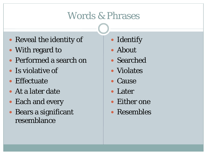## Words & Phrases

- Reveal the identity of
- With regard to
- Performed a search on
- Is violative of
- Effectuate
- At a later date
- Each and every
- Bears a significant resemblance
- Identify
- About
- Searched
- Violates
- Cause
- Later
- Either one
- Resembles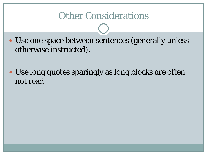#### Other Considerations

 Use one space between sentences (generally unless otherwise instructed).

• Use long quotes sparingly as long blocks are often not read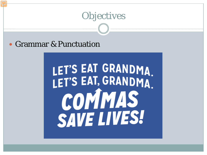#### **Objectives**

#### Grammar & Punctuation

# LET'S EAT GRANDMA.<br>LET'S EAT, GRANDMA. COMMAS SAVE LIVES!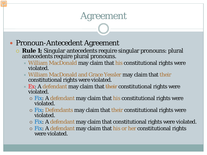#### Agreement

#### Pronoun-Antecedent Agreement

- **Rule 1:** Singular antecedents require singular pronouns: plural antecedents require plural pronouns.
	- $\times$  William MacDonald may claim that his constitutional rights were violated.
	- $\times$  William MacDonald and Grace Yessler may claim that their constitutional rights were violated.
	- $\times$  Ex: A defendant may claim that their constitutional rights were violated.
		- Fix: A defendant may claim that his constitutional rights were violated.
		- Fix: Defendants may claim that their constitutional rights were violated.
		- Fix: A defendant may claim that constitutional rights were violated.
		- Fix: A defendant may claim that his or her constitutional rights were violated.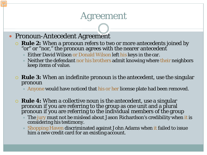#### Agreement

#### Pronoun-Antecedent Agreement

- **Rule 2:** When a pronoun refers to two or more antecedents joined by "or" or "nor," the pronoun agrees with the nearer antecedent
	- **Either David Wilson or Donald Wilson left his keys in the car.**
	- $\times$  Neither the defendant nor his brothers admit knowing where their neighbors keep items of value.
- **Rule 3:** When an indefinite pronoun is the antecedent, use the singular pronoun
	- $\times$  Anyone would have noticed that his or her license plate had been removed.
- **Rule 4:** When a collective noun is the antecedent, use a singular pronoun if you are referring to the group as one unit and a plural pronoun if you are referring to the individual members of the group
	- The jury must not be mislead about Jason Richardson's credibility when it is considering his testimony.
	- $\times$  Shopping Haven discriminated against John Adams when it failed to issue him a new credit card for an existing account.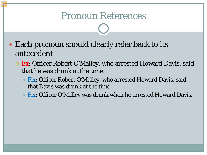- Each pronoun should clearly refer back to its antecedent
	- Ex: Officer Robert O'Malley, who arrested Howard Davis, said that he was drunk at the time.
		- Fix: Officer Robert O'Malley, who arrested Howard Davis, said that Davis was drunk at the time.
		- $\times$  Fix: Officer O'Malley was drunk when he arrested Howard Davis.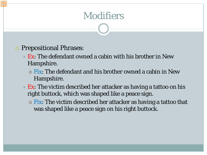## Modifiers

- **O** Prepositional Phrases:
	- $\times$  Ex: The defendant owned a cabin with his brother in New Hampshire.
		- Fix: The defendant and his brother owned a cabin in New Hampshire.
	- $\times$  Ex: The victim described her attacker as having a tattoo on his right buttock, which was shaped like a peace sign.
		- Fix: The victim described her attacker as having a tattoo that was shaped like a peace sign on his right buttock.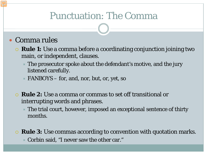## Punctuation: The Comma

#### Comma rules

- **Rule 1:** Use a comma before a coordinating conjunction joining two main, or independent, clauses.
	- $\overline{\phantom{a}}$  The prosecutor spoke about the defendant's motive, and the jury listened carefully.
	- $\times$  FANBOYS for, and, nor, but, or, yet, so
- **Rule 2:** Use a comma or commas to set off transitional or interrupting words and phrases.
	- $\times$  The trial court, however, imposed an exceptional sentence of thirty months.
- **Rule 3:** Use commas according to convention with quotation marks.  $\times$  Corbin said, "I never saw the other car."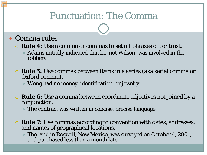## Punctuation: The Comma

#### Comma rules

- **Rule 4:** Use a comma or commas to set off phrases of contrast.
	- $\times$  Adams initially indicated that he, not Wilson, was involved in the robbery.
- **Rule 5:** Use commas between items in a series (aka serial comma or Oxford comma).
	- $\times$  Wong had no money, identification, or jewelry.
- **Rule 6:** Use a comma between coordinate adjectives not joined by a conjunction.
	- $\overline{\phantom{a}}$  The contract was written in concise, precise language.
- **Rule 7:** Use commas according to convention with dates, addresses, and names of geographical locations.
	- The land in Roswell, New Mexico, was surveyed on October 4, 2001, and purchased less than a month later.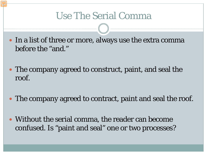#### Use The Serial Comma

- In a list of three or more, always use the extra comma before the "and."
- The company agreed to construct, paint, and seal the roof.
- The company agreed to contract, paint and seal the roof.
- Without the serial comma, the reader can become confused. Is "paint and seal" one or two processes?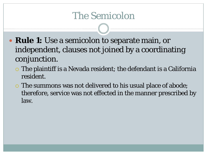## The Semicolon

- **Rule 1:** Use a semicolon to separate main, or independent, clauses not joined by a coordinating conjunction.
	- The plaintiff is a Nevada resident; the defendant is a California resident.
	- The summons was not delivered to his usual place of abode; therefore, service was not effected in the manner prescribed by law.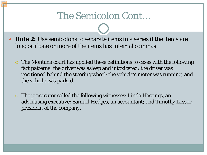#### The Semicolon Cont…

- **Rule 2:** Use semicolons to separate items in a series if the items are long or if one or more of the items has internal commas
	- The Montana court has applied these definitions to cases with the following fact patterns: the driver was asleep and intoxicated; the driver was positioned behind the steering wheel; the vehicle's motor was running; and the vehicle was parked.
	- The prosecutor called the following witnesses: Linda Hastings, an advertising executive; Samuel Hedges, an accountant; and Timothy Lessor, president of the company.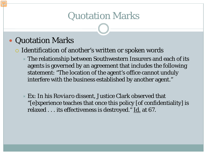## Quotation Marks

#### Quotation Marks

Identification of another's written or spoken words

- $\times$  The relationship between Southwestern Insurers and each of its agents is governed by an agreement that includes the following statement: "The location of the agent's office cannot unduly interfere with the business established by another agent."
- Ex: In his *Roviaro* dissent, Justice Clark observed that "[e]xperience teaches that once this policy [of confidentiality] is relaxed . . . its effectiveness is destroyed." Id. at 67.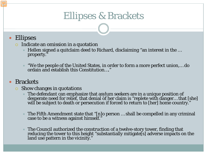## Ellipses & Brackets

#### Ellipses

- Indicate an omission in a quotation
	- $\times$  Hellen signed a quitclaim deed to Richard, disclaiming "an interest in the ... property.
	- $\times$  "We the people of the United States, in order to form a more perfect union,... do ordain and establish this Constitution…."

#### **Brackets**

- Show changes in quotations
	- $\angle$  The defendant can emphasize that asylum seekers are in a unique position of desperate need for relief, that denial of her claim is "replete with danger... that [she] will be subject to death or persecution if forced to return to [her] home country."
	- $\times$  The Fifth Amendment state that "[n]o person ... shall be compelled in any criminal case to be a witness against himself."
	- The Council authorized the construction of a twelve-story tower, finding that reducing the tower to this height "substantially mitigate[s] adverse impacts on the land use pattern in the vicinity."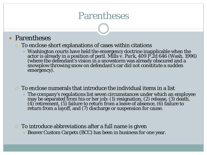#### Parentheses

#### • Parentheses

To enclose short explanations of cases within citations

- $\times$  Washington courts have held the emergency doctrine inapplicable when the actor is already in a position of peril. *Mills v. Park,* 409 P.2d 646 (Wash. 1996) (where the defendant's vision in a snowstorm was already obscured and a snowplow throwing snow on defendant's car did not constitute a sudden emergency).
- To enclose numerals that introduce the individual items in a list
	- $\times$  The company's regulations list seven circumstances under which an employee may be separated from his or her job: (1) resignation, (2) release, (3) death, (4) retirement, (5) failure to return from a leave of absence, (6) failure to return from a layoff, and (7) discharge or suspension for cause.
- To introduce abbreviations after a full name is given
	- $\times$  Beaver Custom Carpets (BCC) has been in business for one year.